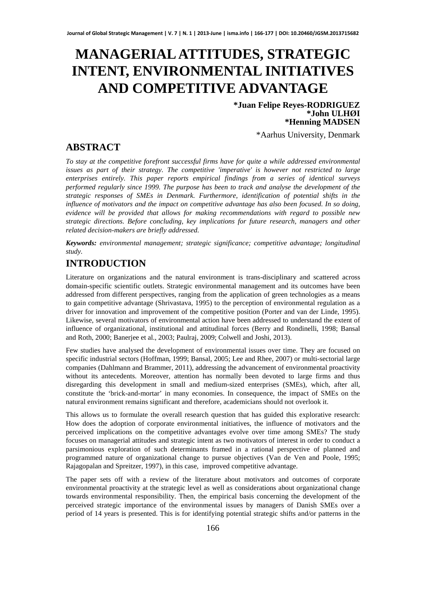# **MANAGERIAL ATTITUDES, STRATEGIC INTENT, ENVIRONMENTAL INITIATIVES AND COMPETITIVE ADVANTAGE**

**\*Juan Felipe Reyes-RODRIGUEZ \*John ULHØI \*Henning MADSEN**

\*Aarhus University, Denmark

### **ABSTRACT**

*To stay at the competitive forefront successful firms have for quite a while addressed environmental issues as part of their strategy. The competitive 'imperative' is however not restricted to large enterprises entirely. This paper reports empirical findings from a series of identical surveys performed regularly since 1999. The purpose has been to track and analyse the development of the strategic responses of SMEs in Denmark. Furthermore, identification of potential shifts in the influence of motivators and the impact on competitive advantage has also been focused. In so doing, evidence will be provided that allows for making recommendations with regard to possible new strategic directions. Before concluding, key implications for future research, managers and other related decision-makers are briefly addressed.* 

*Keywords: environmental management; strategic significance; competitive advantage; longitudinal study.* 

### **INTRODUCTION**

Literature on organizations and the natural environment is trans-disciplinary and scattered across domain-specific scientific outlets. Strategic environmental management and its outcomes have been addressed from different perspectives, ranging from the application of green technologies as a means to gain competitive advantage (Shrivastava, 1995) to the perception of environmental regulation as a driver for innovation and improvement of the competitive position (Porter and van der Linde, 1995). Likewise, several motivators of environmental action have been addressed to understand the extent of influence of organizational, institutional and attitudinal forces (Berry and Rondinelli, 1998; Bansal and Roth, 2000; Banerjee et al., 2003; Paulraj, 2009; Colwell and Joshi, 2013).

Few studies have analysed the development of environmental issues over time. They are focused on specific industrial sectors (Hoffman, 1999; Bansal, 2005; Lee and Rhee, 2007) or multi-sectorial large companies (Dahlmann and Brammer, 2011), addressing the advancement of environmental proactivity without its antecedents. Moreover, attention has normally been devoted to large firms and thus disregarding this development in small and medium-sized enterprises (SMEs), which, after all, constitute the 'brick-and-mortar' in many economies. In consequence, the impact of SMEs on the natural environment remains significant and therefore, academicians should not overlook it.

This allows us to formulate the overall research question that has guided this explorative research: How does the adoption of corporate environmental initiatives, the influence of motivators and the perceived implications on the competitive advantages evolve over time among SMEs? The study focuses on managerial attitudes and strategic intent as two motivators of interest in order to conduct a parsimonious exploration of such determinants framed in a rational perspective of planned and programmed nature of organizational change to pursue objectives (Van de Ven and Poole, 1995; Rajagopalan and Spreitzer, 1997), in this case, improved competitive advantage.

The paper sets off with a review of the literature about motivators and outcomes of corporate environmental proactivity at the strategic level as well as considerations about organizational change towards environmental responsibility. Then, the empirical basis concerning the development of the perceived strategic importance of the environmental issues by managers of Danish SMEs over a period of 14 years is presented. This is for identifying potential strategic shifts and/or patterns in the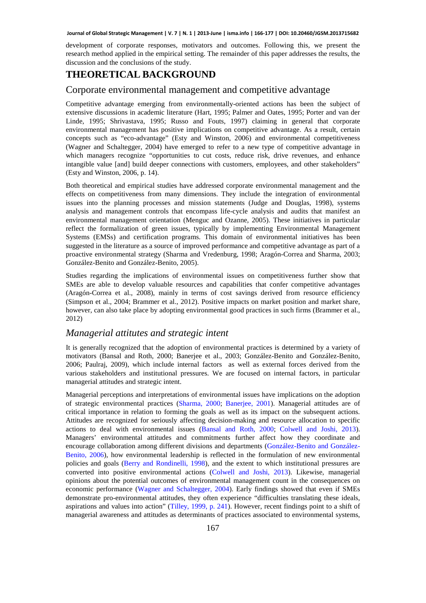development of corporate responses, motivators and outcomes. Following this, we present the research method applied in the empirical setting. The remainder of this paper addresses the results, the discussion and the conclusions of the study.

### **THEORETICAL BACKGROUND**

#### Corporate environmental management and competitive advantage

Competitive advantage emerging from environmentally-oriented actions has been the subject of extensive discussions in academic literature (Hart, 1995; Palmer and Oates, 1995; Porter and van der Linde, 1995; Shrivastava, 1995; Russo and Fouts, 1997) claiming in general that corporate environmental management has positive implications on competitive advantage. As a result, certain concepts such as "eco-advantage" (Esty and Winston, 2006) and environmental competitiveness (Wagner and Schaltegger, 2004) have emerged to refer to a new type of competitive advantage in which managers recognize "opportunities to cut costs, reduce risk, drive revenues, and enhance intangible value [and] build deeper connections with customers, employees, and other stakeholders" (Esty and Winston, 2006, p. 14).

Both theoretical and empirical studies have addressed corporate environmental management and the effects on competitiveness from many dimensions. They include the integration of environmental issues into the planning processes and mission statements (Judge and Douglas, 1998), systems analysis and management controls that encompass life-cycle analysis and audits that manifest an environmental management orientation (Menguc and Ozanne, 2005). These initiatives in particular reflect the formalization of green issues, typically by implementing Environmental Management Systems (EMSs) and certification programs. This domain of environmental initiatives has been suggested in the literature as a source of improved performance and competitive advantage as part of a proactive environmental strategy (Sharma and Vredenburg, 1998; Aragón-Correa and Sharma, 2003; González-Benito and González-Benito, 2005).

Studies regarding the implications of environmental issues on competitiveness further show that SMEs are able to develop valuable resources and capabilities that confer competitive advantages (Aragón-Correa et al., 2008), mainly in terms of cost savings derived from resource efficiency (Simpson et al., 2004; Brammer et al., 2012). Positive impacts on market position and market share, however, can also take place by adopting environmental good practices in such firms (Brammer et al., 2012)

### *Managerial attitutes and strategic intent*

It is generally recognized that the adoption of environmental practices is determined by a variety of motivators (Bansal and Roth, 2000; Banerjee et al., 2003; González-Benito and González-Benito, 2006; Paulraj, 2009), which include internal factors as well as external forces derived from the various stakeholders and institutional pressures. We are focused on internal factors, in particular managerial attitudes and strategic intent.

Managerial perceptions and interpretations of environmental issues have implications on the adoption of strategic environmental practices (Sharma, 2000; Banerjee, 2001). Managerial attitudes are of critical importance in relation to forming the goals as well as its impact on the subsequent actions. Attitudes are recognized for seriously affecting decision-making and resource allocation to specific actions to deal with environmental issues (Bansal and Roth, 2000; Colwell and Joshi, 2013). Managers' environmental attitudes and commitments further affect how they coordinate and encourage collaboration among different divisions and departments (González-Benito and González-Benito, 2006), how environmental leadership is reflected in the formulation of new environmental policies and goals (Berry and Rondinelli, 1998), and the extent to which institutional pressures are converted into positive environmental actions (Colwell and Joshi, 2013). Likewise, managerial opinions about the potential outcomes of environmental management count in the consequences on economic performance (Wagner and Schaltegger, 2004). Early findings showed that even if SMEs demonstrate pro-environmental attitudes, they often experience "difficulties translating these ideals, aspirations and values into action" (Tilley, 1999, p. 241). However, recent findings point to a shift of managerial awareness and attitudes as determinants of practices associated to environmental systems,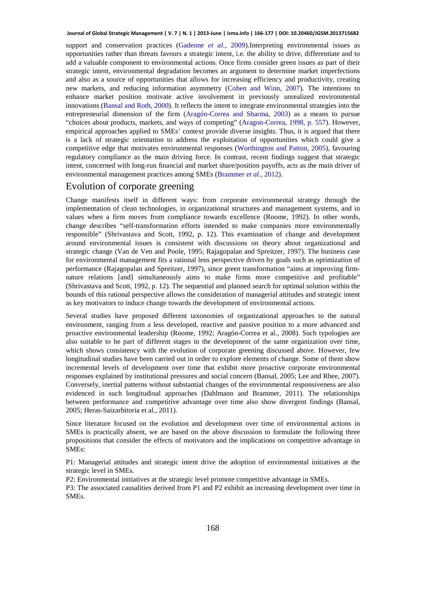support and conservation practices (Gadenne *et al.*, 2009).Interpreting environmental issues as opportunities rather than threats favours a strategic intent, i.e. the ability to drive, differentiate and to add a valuable component to environmental actions. Once firms consider green issues as part of their strategic intent, environmental degradation becomes an argument to determine market imperfections and also as a source of opportunities that allows for increasing efficiency and productivity, creating new markets, and reducing information asymmetry (Cohen and Winn, 2007). The intentions to enhance market position motivate active involvement in previously unrealized environmental innovations (Bansal and Roth, 2000). It reflects the intent to integrate environmental strategies into the entrepreneurial dimension of the firm (Aragón-Correa and Sharma, 2003) as a means to pursue "choices about products, markets, and ways of competing" (Aragon-Correa, 1998, p. 557). However, empirical approaches applied to SMEs' context provide diverse insights. Thus, it is argued that there is a lack of strategic orientation to address the exploitation of opportunities which could give a competitive edge that motivates environmental responses (Worthington and Patton, 2005), favouring regulatory compliance as the main driving force. In contrast, recent findings suggest that strategic intent, concerned with long-run financial and market share/position payoffs, acts as the main driver of environmental management practices among SMEs (Brammer *et al.*, 2012).

#### Evolution of corporate greening

Change manifests itself in different ways: from corporate environmental strategy through the implementation of clean technologies, in organizational structures and management systems, and in values when a firm moves from compliance towards excellence (Roome, 1992). In other words, change describes "self-transformation efforts intended to make companies more environmentally responsible" (Shrivastava and Scott, 1992, p. 12). This examination of change and development around environmental issues is consistent with discussions on theory about organizational and strategic change (Van de Ven and Poole, 1995; Rajagopalan and Spreitzer, 1997). The business case for environmental management fits a rational lens perspective driven by goals such as optimization of performance (Rajagopalan and Spreitzer, 1997), since green transformation "aims at improving firmnature relations [and] simultaneously aims to make firms more competitive and profitable" (Shrivastava and Scott, 1992, p. 12). The sequential and planned search for optimal solution within the bounds of this rational perspective allows the consideration of managerial attitudes and strategic intent as key motivators to induce change towards the development of environmental actions.

Several studies have proposed different taxonomies of organizational approaches to the natural environment, ranging from a less developed, reactive and passive position to a more advanced and proactive environmental leadership (Roome, 1992; Aragón-Correa et al., 2008). Such typologies are also suitable to be part of different stages in the development of the same organization over time, which shows consistency with the evolution of corporate greening discussed above. However, few longitudinal studies have been carried out in order to explore elements of change. Some of them show incremental levels of development over time that exhibit more proactive corporate environmental responses explained by institutional pressures and social concern (Bansal, 2005; Lee and Rhee, 2007). Conversely, inertial patterns without substantial changes of the environmental responsiveness are also evidenced in such longitudinal approaches (Dahlmann and Brammer, 2011). The relationships between performance and competitive advantage over time also show divergent findings (Bansal, 2005; Heras-Saizarbitoria et al., 2011).

Since literature focused on the evolution and development over time of environmental actions in SMEs is practically absent, we are based on the above discussion to formulate the following three propositions that consider the effects of motivators and the implications on competitive advantage in SMEs:

P1: Managerial attitudes and strategic intent drive the adoption of environmental initiatives at the strategic level in SMEs.

P2: Environmental initiatives at the strategic level promote competitive advantage in SMEs.

P3: The associated causalities derived from P1 and P2 exhibit an increasing development over time in SMEs.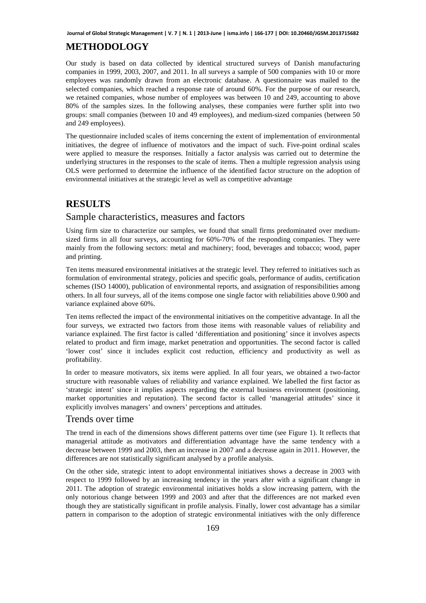# **METHODOLOGY**

Our study is based on data collected by identical structured surveys of Danish manufacturing companies in 1999, 2003, 2007, and 2011. In all surveys a sample of 500 companies with 10 or more employees was randomly drawn from an electronic database. A questionnaire was mailed to the selected companies, which reached a response rate of around 60%. For the purpose of our research, we retained companies, whose number of employees was between 10 and 249, accounting to above 80% of the samples sizes. In the following analyses, these companies were further split into two groups: small companies (between 10 and 49 employees), and medium-sized companies (between 50 and 249 employees).

The questionnaire included scales of items concerning the extent of implementation of environmental initiatives, the degree of influence of motivators and the impact of such. Five-point ordinal scales were applied to measure the responses. Initially a factor analysis was carried out to determine the underlying structures in the responses to the scale of items. Then a multiple regression analysis using OLS were performed to determine the influence of the identified factor structure on the adoption of environmental initiatives at the strategic level as well as competitive advantage

### **RESULTS**

### Sample characteristics, measures and factors

Using firm size to characterize our samples, we found that small firms predominated over mediumsized firms in all four surveys, accounting for 60%-70% of the responding companies. They were mainly from the following sectors: metal and machinery; food, beverages and tobacco; wood, paper and printing.

Ten items measured environmental initiatives at the strategic level. They referred to initiatives such as formulation of environmental strategy, policies and specific goals, performance of audits, certification schemes (ISO 14000), publication of environmental reports, and assignation of responsibilities among others. In all four surveys, all of the items compose one single factor with reliabilities above 0.900 and variance explained above 60%.

Ten items reflected the impact of the environmental initiatives on the competitive advantage. In all the four surveys, we extracted two factors from those items with reasonable values of reliability and variance explained. The first factor is called 'differentiation and positioning' since it involves aspects related to product and firm image, market penetration and opportunities. The second factor is called 'lower cost' since it includes explicit cost reduction, efficiency and productivity as well as profitability.

In order to measure motivators, six items were applied. In all four years, we obtained a two-factor structure with reasonable values of reliability and variance explained. We labelled the first factor as 'strategic intent' since it implies aspects regarding the external business environment (positioning, market opportunities and reputation). The second factor is called 'managerial attitudes' since it explicitly involves managers' and owners' perceptions and attitudes.

### Trends over time

The trend in each of the dimensions shows different patterns over time (see Figure 1). It reflects that managerial attitude as motivators and differentiation advantage have the same tendency with a decrease between 1999 and 2003, then an increase in 2007 and a decrease again in 2011. However, the differences are not statistically significant analysed by a profile analysis.

On the other side, strategic intent to adopt environmental initiatives shows a decrease in 2003 with respect to 1999 followed by an increasing tendency in the years after with a significant change in 2011. The adoption of strategic environmental initiatives holds a slow increasing pattern, with the only notorious change between 1999 and 2003 and after that the differences are not marked even though they are statistically significant in profile analysis. Finally, lower cost advantage has a similar pattern in comparison to the adoption of strategic environmental initiatives with the only difference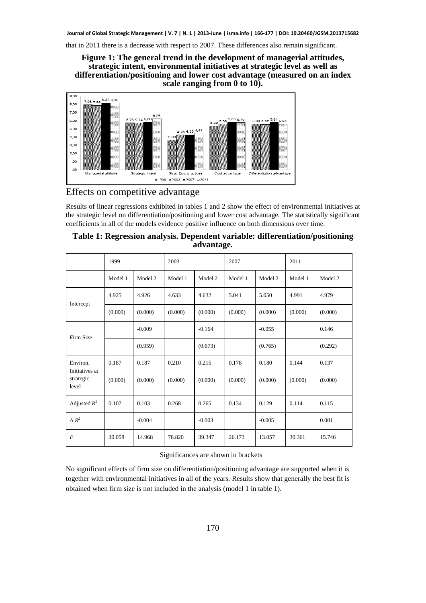

### Effects on competitive advantage Effects on competitive

| Table 1: Regression analysis. Dependent variable: differentiation/positioning |
|-------------------------------------------------------------------------------|
| advantage.                                                                    |

| that in 2011 there is a decrease with respect to 2007. These differences also remain significant.                                                                                                                                                                                                                   |         | Figure 1: The general trend in the development of managerial attitudes,<br>strategic intent, environmental initiatives at strategic level as well as |                                                                              |            | scale ranging from 0 to 10).        |                                                                 |         | differentiation/positioning and lower cost advantage (measured on an index    |
|---------------------------------------------------------------------------------------------------------------------------------------------------------------------------------------------------------------------------------------------------------------------------------------------------------------------|---------|------------------------------------------------------------------------------------------------------------------------------------------------------|------------------------------------------------------------------------------|------------|-------------------------------------|-----------------------------------------------------------------|---------|-------------------------------------------------------------------------------|
| 9,00<br>$7,98$ 7,88 $\frac{8.21}{1}$ 8,18<br>8,00<br>7,00<br>6,00<br>5,00<br>4,00<br>3,00<br>2,00<br>1,00<br>,00<br>Managerial attitude<br>Effects on competitive advantage                                                                                                                                         |         | 6.26<br>5,76 5,74 5,86<br>Strategic intent                                                                                                           | 4,28 4,33 4,47<br>3,63<br>Strat, Env. practices<br>⊠1999 Ø2003 = 2007 □ 2011 | 5,39.5.58  | 5,85 5,79<br>Cost advantage         | 5,63 5,57 $-$ <sup>5,81</sup> 5,64<br>Differentiation advantage |         |                                                                               |
| Results of linear regressions exhibited in tables 1 and 2 show the effect of environmental initiatives<br>the strategic level on differentiation/positioning and lower cost advantage. The statistically significant<br>coefficients in all of the models evidence positive influence on both dimensions over time. |         |                                                                                                                                                      |                                                                              | advantage. |                                     |                                                                 |         | Table 1: Regression analysis. Dependent variable: differentiation/positioning |
|                                                                                                                                                                                                                                                                                                                     | 1999    |                                                                                                                                                      | 2003                                                                         |            | 2007                                |                                                                 | 2011    |                                                                               |
|                                                                                                                                                                                                                                                                                                                     | Model 1 | Model 2                                                                                                                                              | Model 1                                                                      | Model 2    | Model 1                             | Model 2                                                         | Model 1 | Model 2                                                                       |
|                                                                                                                                                                                                                                                                                                                     | 4.925   | 4.926                                                                                                                                                | 4.633                                                                        | 4.632      | 5.041                               | 5.050                                                           | 4.991   | 4.979                                                                         |
| Intercept                                                                                                                                                                                                                                                                                                           | (0.000) | (0.000)                                                                                                                                              | (0.000)                                                                      | (0.000)    | (0.000)                             | (0.000)                                                         | (0.000) | (0.000)                                                                       |
|                                                                                                                                                                                                                                                                                                                     |         | $-0.009$                                                                                                                                             |                                                                              | $-0.164$   |                                     | $-0.055$                                                        |         | 0.146                                                                         |
| Firm Size                                                                                                                                                                                                                                                                                                           |         | (0.959)                                                                                                                                              |                                                                              | (0.673)    |                                     | (0.765)                                                         |         | (0.292)                                                                       |
| Environ.                                                                                                                                                                                                                                                                                                            | 0.187   | 0.187                                                                                                                                                | 0.210                                                                        | 0.215      | 0.178                               | 0.180                                                           | 0.144   | 0.137                                                                         |
| Initiatives at<br>strategic<br>level                                                                                                                                                                                                                                                                                | (0.000) | (0.000)                                                                                                                                              | (0.000)                                                                      | (0.000)    | (0.000)                             | (0.000)                                                         | (0.000) | (0.000)                                                                       |
| Adjusted $R^2$                                                                                                                                                                                                                                                                                                      | 0.107   | 0.103                                                                                                                                                | 0.268                                                                        | 0.265      | 0.134                               | 0.129                                                           | 0.114   | 0.115                                                                         |
| $\Delta R^2$                                                                                                                                                                                                                                                                                                        |         | $-0.004$                                                                                                                                             |                                                                              | $-0.003$   |                                     | $-0.005$                                                        |         | 0.001                                                                         |
| F                                                                                                                                                                                                                                                                                                                   | 30.058  | 14.968                                                                                                                                               | 78.820                                                                       | 39.347     | 26.173                              | 13.057                                                          | 30.361  | 15.746                                                                        |
| No significant effects of firm size on differentiation/positioning advantage are supported when it is<br>together with environmental initiatives in all of the years. Results show that generally the best fit is<br>obtained when firm size is not included in the analysis (model 1 in table 1).                  |         |                                                                                                                                                      |                                                                              |            | Significances are shown in brackets |                                                                 |         |                                                                               |

#### Significances are shown in brackets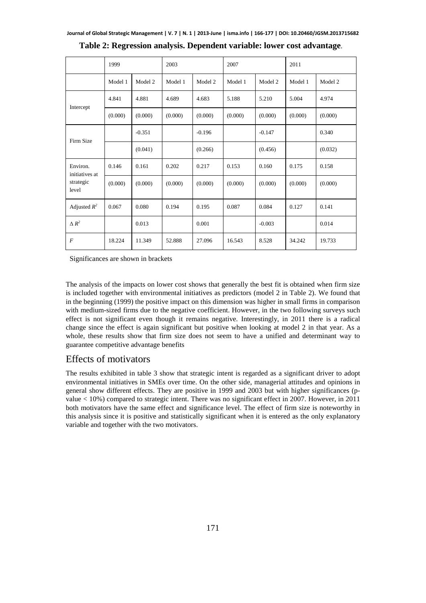|                                                  | 1999    |          | 2003    |          | 2007    |          | 2011    |         |
|--------------------------------------------------|---------|----------|---------|----------|---------|----------|---------|---------|
|                                                  | Model 1 | Model 2  | Model 1 | Model 2  | Model 1 | Model 2  | Model 1 | Model 2 |
| Intercept                                        | 4.841   | 4.881    | 4.689   | 4.683    | 5.188   | 5.210    | 5.004   | 4.974   |
|                                                  | (0.000) | (0.000)  | (0.000) | (0.000)  | (0.000) | (0.000)  | (0.000) | (0.000) |
| Firm Size                                        |         | $-0.351$ |         | $-0.196$ |         | $-0.147$ |         | 0.340   |
|                                                  |         | (0.041)  |         | (0.266)  |         | (0.456)  |         | (0.032) |
| Environ.<br>initiatives at<br>strategic<br>level | 0.146   | 0.161    | 0.202   | 0.217    | 0.153   | 0.160    | 0.175   | 0.158   |
|                                                  | (0.000) | (0.000)  | (0.000) | (0.000)  | (0.000) | (0.000)  | (0.000) | (0.000) |
| Adjusted $R^2$                                   | 0.067   | 0.080    | 0.194   | 0.195    | 0.087   | 0.084    | 0.127   | 0.141   |
| $\Delta R^2$                                     |         | 0.013    |         | 0.001    |         | $-0.003$ |         | 0.014   |
| $\overline{F}$                                   | 18.224  | 11.349   | 52.888  | 27.096   | 16.543  | 8.528    | 34.242  | 19.733  |

|  |  | Table 2: Regression analysis. Dependent variable: lower cost advantage. |
|--|--|-------------------------------------------------------------------------|
|  |  |                                                                         |

Significances are shown in brackets

The analysis of the impacts on lower cost shows that generally the best fit is obtained when firm size is included together with environmental initiatives as predictors (model 2 in Table 2). We found that in the beginning (1999) the positive impact on this dimension was higher in small firms in comparison with medium-sized firms due to the negative coefficient. However, in the two following surveys such effect is not significant even though it remains negative. Interestingly, in 2011 there is a radical change since the effect is again significant but positive when looking at model 2 in that year. As a whole, these results show that firm size does not seem to have a unified and determinant way to guarantee competitive advantage benefits

### Effects of motivators

The results exhibited in table 3 show that strategic intent is regarded as a significant driver to adopt environmental initiatives in SMEs over time. On the other side, managerial attitudes and opinions in general show different effects. They are positive in 1999 and 2003 but with higher significances (pvalue < 10%) compared to strategic intent. There was no significant effect in 2007. However, in 2011 both motivators have the same effect and significance level. The effect of firm size is noteworthy in this analysis since it is positive and statistically significant when it is entered as the only explanatory variable and together with the two motivators.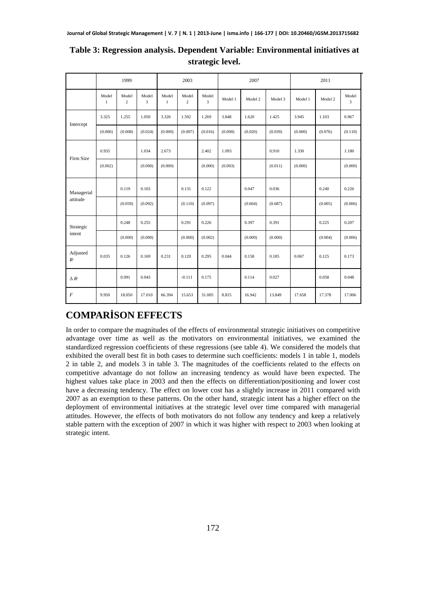|                                     | 1999                  |                         | 2003       |                       | 2007                    |                         |         | 2011    |         |         |         |            |
|-------------------------------------|-----------------------|-------------------------|------------|-----------------------|-------------------------|-------------------------|---------|---------|---------|---------|---------|------------|
|                                     | Model<br>$\mathbf{1}$ | Model<br>$\overline{c}$ | Model<br>3 | Model<br>$\mathbf{1}$ | Model<br>$\overline{c}$ | Model<br>$\overline{3}$ | Model 1 | Model 2 | Model 3 | Model 1 | Model 2 | Model<br>3 |
|                                     | 3.325                 | 1.255                   | 1.050      | 3.326                 | 1.592                   | 1.269                   | 3.848   | 1.620   | 1.425   | 3.945   | 1.103   | 0.967      |
| Intercept                           | (0.000)               | (0.008)                 | (0.024)    | (0.000)               | (0.007)                 | (0.016)                 | (0.000) | (0.020) | (0.039) | (0.000) | (0.076) | (0.110)    |
| Firm Size                           | 0.935                 |                         | 1.034      | 2.673                 |                         | 2.402                   | 1.093   |         | 0.910   | 1.330   |         | 1.180      |
|                                     | (0.002)               |                         | (0.000)    | (0.000)               |                         | (0.000)                 | (0.003) |         | (0.011) | (0.000) |         | (0.000)    |
| Managerial<br>attitude              |                       | 0.119                   | 0.103      |                       | 0.131                   | 0.122                   |         | 0.047   | 0.036   |         | 0.240   | 0.226      |
|                                     |                       | (0.059)                 | (0.092)    |                       | (0.110)                 | (0.097)                 |         | (0.604) | (0.687) |         | (0.005) | (0.006)    |
| Strategic<br>intent                 |                       | 0.248                   | 0.255      |                       | 0.291                   | 0.226                   |         | 0.397   | 0.391   |         | 0.225   | 0.207      |
|                                     |                       | (0.000)                 | (0.000)    |                       | (0.000)                 | (0.002)                 |         | (0.000) | (0.000) |         | (0.004) | (0.006)    |
| Adjusted<br>$I\!\!R^2$              | 0.035                 | 0.126                   | 0.169      | 0.231                 | 0.120                   | 0.295                   | 0.044   | 0.158   | 0.185   | 0.067   | 0.125   | 0.173      |
| $\Delta$ $R^{\scriptscriptstyle 2}$ |                       | 0.091                   | 0.043      |                       | $-0.111$                | 0.175                   |         | 0.114   | 0.027   |         | 0.058   | 0.048      |
| $\cal F$                            | 9.950                 | 18.050                  | 17.010     | 66.394                | 15.653                  | 31.005                  | 8.815   | 16.942  | 13.849  | 17.658  | 17.378  | 17.006     |

### **Table 3: Regression analysis. Dependent Variable: Environmental initiatives at strategic level.**

# **COMPARİSON EFFECTS**

In order to compare the magnitudes of the effects of environmental strategic initiatives on competitive advantage over time as well as the motivators on environmental initiatives, we examined the standardized regression coefficients of these regressions (see table 4). We considered the models that exhibited the overall best fit in both cases to determine such coefficients: models 1 in table 1, models 2 in table 2, and models 3 in table 3. The magnitudes of the coefficients related to the effects on competitive advantage do not follow an increasing tendency as would have been expected. The highest values take place in 2003 and then the effects on differentiation/positioning and lower cost have a decreasing tendency. The effect on lower cost has a slightly increase in 2011 compared with 2007 as an exemption to these patterns. On the other hand, strategic intent has a higher effect on the deployment of environmental initiatives at the strategic level over time compared with managerial attitudes. However, the effects of both motivators do not follow any tendency and keep a relatively stable pattern with the exception of 2007 in which it was higher with respect to 2003 when looking at strategic intent.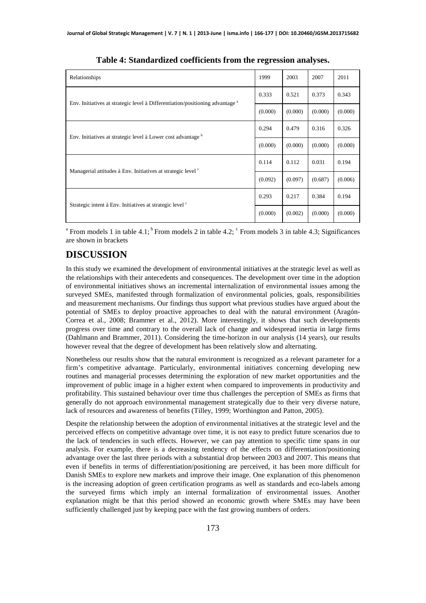| Relationships                                                                            | 1999    | 2003    | 2007    | 2011    |
|------------------------------------------------------------------------------------------|---------|---------|---------|---------|
| Env. Initiatives at strategic level à Differentiation/positioning advantage <sup>a</sup> | 0.333   | 0.521   | 0.373   | 0.343   |
|                                                                                          | (0.000) | (0.000) | (0.000) | (0.000) |
| Env. Initiatives at strategic level à Lower cost advantage b                             | 0.294   | 0.479   | 0.316   | 0.326   |
|                                                                                          | (0.000) | (0.000) | (0.000) | (0.000) |
| Managerial attitudes à Env. Initiatives at strategic level <sup>c</sup>                  | 0.114   | 0.112   | 0.031   | 0.194   |
|                                                                                          | (0.092) | (0.097) | (0.687) | (0.006) |
|                                                                                          | 0.293   | 0.217   | 0.384   | 0.194   |
| Strategic intent à Env. Initiatives at strategic level <sup>c</sup>                      | (0.000) | (0.002) | (0.000) | (0.000) |

**Table 4: Standardized coefficients from the regression analyses.** 

<sup>a</sup> From models 1 in table 4.1;<sup>b</sup> From models 2 in table 4.2;  $\textdegree$  From models 3 in table 4.3; Significances are shown in brackets

# **DISCUSSION**

In this study we examined the development of environmental initiatives at the strategic level as well as the relationships with their antecedents and consequences. The development over time in the adoption of environmental initiatives shows an incremental internalization of environmental issues among the surveyed SMEs, manifested through formalization of environmental policies, goals, responsibilities and measurement mechanisms. Our findings thus support what previous studies have argued about the potential of SMEs to deploy proactive approaches to deal with the natural environment (Aragón-Correa et al., 2008; Brammer et al., 2012). More interestingly, it shows that such developments progress over time and contrary to the overall lack of change and widespread inertia in large firms (Dahlmann and Brammer, 2011). Considering the time-horizon in our analysis (14 years), our results however reveal that the degree of development has been relatively slow and alternating.

Nonetheless our results show that the natural environment is recognized as a relevant parameter for a firm's competitive advantage. Particularly, environmental initiatives concerning developing new routines and managerial processes determining the exploration of new market opportunities and the improvement of public image in a higher extent when compared to improvements in productivity and profitability. This sustained behaviour over time thus challenges the perception of SMEs as firms that generally do not approach environmental management strategically due to their very diverse nature, lack of resources and awareness of benefits (Tilley, 1999; Worthington and Patton, 2005).

Despite the relationship between the adoption of environmental initiatives at the strategic level and the perceived effects on competitive advantage over time, it is not easy to predict future scenarios due to the lack of tendencies in such effects. However, we can pay attention to specific time spans in our analysis. For example, there is a decreasing tendency of the effects on differentiation/positioning advantage over the last three periods with a substantial drop between 2003 and 2007. This means that even if benefits in terms of differentiation/positioning are perceived, it has been more difficult for Danish SMEs to explore new markets and improve their image. One explanation of this phenomenon is the increasing adoption of green certification programs as well as standards and eco-labels among the surveyed firms which imply an internal formalization of environmental issues. Another explanation might be that this period showed an economic growth where SMEs may have been sufficiently challenged just by keeping pace with the fast growing numbers of orders.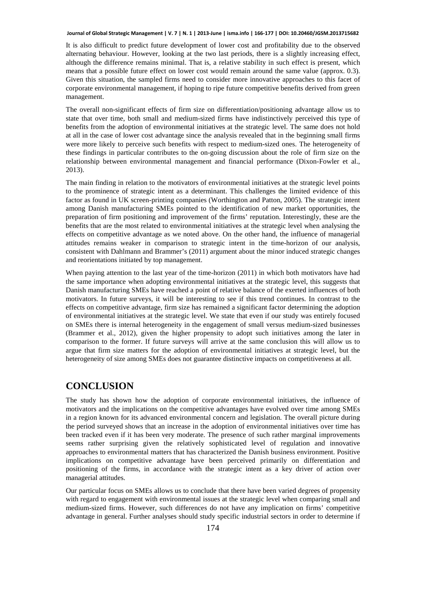#### **Journal of Global Strategic Management | V. 7 | N. 1 | 2013-June | isma.info | 166-177 | DOI: 10.20460/JGSM.2013715682**

It is also difficult to predict future development of lower cost and profitability due to the observed alternating behaviour. However, looking at the two last periods, there is a slightly increasing effect, although the difference remains minimal. That is, a relative stability in such effect is present, which means that a possible future effect on lower cost would remain around the same value (approx. 0.3). Given this situation, the sampled firms need to consider more innovative approaches to this facet of corporate environmental management, if hoping to ripe future competitive benefits derived from green management.

The overall non-significant effects of firm size on differentiation/positioning advantage allow us to state that over time, both small and medium-sized firms have indistinctively perceived this type of benefits from the adoption of environmental initiatives at the strategic level. The same does not hold at all in the case of lower cost advantage since the analysis revealed that in the beginning small firms were more likely to perceive such benefits with respect to medium-sized ones. The heterogeneity of these findings in particular contributes to the on-going discussion about the role of firm size on the relationship between environmental management and financial performance (Dixon-Fowler et al., 2013).

The main finding in relation to the motivators of environmental initiatives at the strategic level points to the prominence of strategic intent as a determinant. This challenges the limited evidence of this factor as found in UK screen-printing companies (Worthington and Patton, 2005). The strategic intent among Danish manufacturing SMEs pointed to the identification of new market opportunities, the preparation of firm positioning and improvement of the firms' reputation. Interestingly, these are the benefits that are the most related to environmental initiatives at the strategic level when analysing the effects on competitive advantage as we noted above. On the other hand, the influence of managerial attitudes remains weaker in comparison to strategic intent in the time-horizon of our analysis, consistent with Dahlmann and Brammer's (2011) argument about the minor induced strategic changes and reorientations initiated by top management.

When paying attention to the last year of the time-horizon (2011) in which both motivators have had the same importance when adopting environmental initiatives at the strategic level, this suggests that Danish manufacturing SMEs have reached a point of relative balance of the exerted influences of both motivators. In future surveys, it will be interesting to see if this trend continues. In contrast to the effects on competitive advantage, firm size has remained a significant factor determining the adoption of environmental initiatives at the strategic level. We state that even if our study was entirely focused on SMEs there is internal heterogeneity in the engagement of small versus medium-sized businesses (Brammer et al., 2012), given the higher propensity to adopt such initiatives among the later in comparison to the former. If future surveys will arrive at the same conclusion this will allow us to argue that firm size matters for the adoption of environmental initiatives at strategic level, but the heterogeneity of size among SMEs does not guarantee distinctive impacts on competitiveness at all.

### **CONCLUSION**

The study has shown how the adoption of corporate environmental initiatives, the influence of motivators and the implications on the competitive advantages have evolved over time among SMEs in a region known for its advanced environmental concern and legislation. The overall picture during the period surveyed shows that an increase in the adoption of environmental initiatives over time has been tracked even if it has been very moderate. The presence of such rather marginal improvements seems rather surprising given the relatively sophisticated level of regulation and innovative approaches to environmental matters that has characterized the Danish business environment. Positive implications on competitive advantage have been perceived primarily on differentiation and positioning of the firms, in accordance with the strategic intent as a key driver of action over managerial attitudes.

Our particular focus on SMEs allows us to conclude that there have been varied degrees of propensity with regard to engagement with environmental issues at the strategic level when comparing small and medium-sized firms. However, such differences do not have any implication on firms' competitive advantage in general. Further analyses should study specific industrial sectors in order to determine if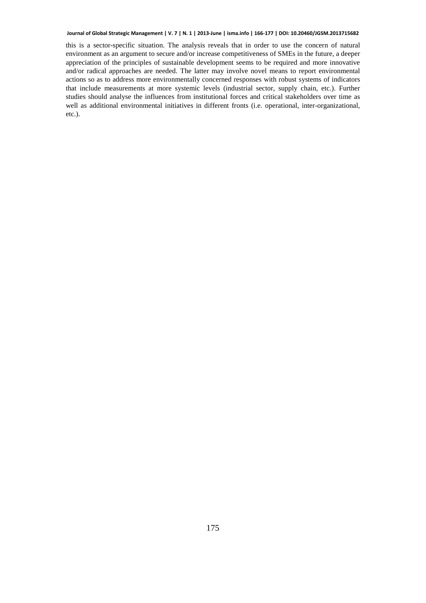#### **Journal of Global Strategic Management | V. 7 | N. 1 | 2013-June | isma.info | 166-177 | DOI: 10.20460/JGSM.2013715682**

this is a sector-specific situation. The analysis reveals that in order to use the concern of natural environment as an argument to secure and/or increase competitiveness of SMEs in the future, a deeper appreciation of the principles of sustainable development seems to be required and more innovative and/or radical approaches are needed. The latter may involve novel means to report environmental actions so as to address more environmentally concerned responses with robust systems of indicators that include measurements at more systemic levels (industrial sector, supply chain, etc.). Further studies should analyse the influences from institutional forces and critical stakeholders over time as well as additional environmental initiatives in different fronts (i.e. operational, inter-organizational, etc.).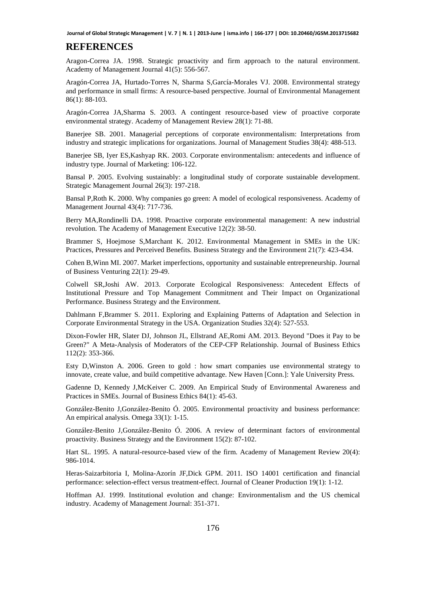### **REFERENCES**

Aragon-Correa JA. 1998. Strategic proactivity and firm approach to the natural environment. Academy of Management Journal 41(5): 556-567.

Aragón-Correa JA, Hurtado-Torres N, Sharma S,García-Morales VJ. 2008. Environmental strategy and performance in small firms: A resource-based perspective. Journal of Environmental Management 86(1): 88-103.

Aragón-Correa JA,Sharma S. 2003. A contingent resource-based view of proactive corporate environmental strategy. Academy of Management Review 28(1): 71-88.

Banerjee SB. 2001. Managerial perceptions of corporate environmentalism: Interpretations from industry and strategic implications for organizations. Journal of Management Studies 38(4): 488-513.

Banerjee SB, Iyer ES,Kashyap RK. 2003. Corporate environmentalism: antecedents and influence of industry type. Journal of Marketing: 106-122.

Bansal P. 2005. Evolving sustainably: a longitudinal study of corporate sustainable development. Strategic Management Journal 26(3): 197-218.

Bansal P,Roth K. 2000. Why companies go green: A model of ecological responsiveness. Academy of Management Journal 43(4): 717-736.

Berry MA,Rondinelli DA. 1998. Proactive corporate environmental management: A new industrial revolution. The Academy of Management Executive 12(2): 38-50.

Brammer S, Hoejmose S,Marchant K. 2012. Environmental Management in SMEs in the UK: Practices, Pressures and Perceived Benefits. Business Strategy and the Environment 21(7): 423-434.

Cohen B,Winn MI. 2007. Market imperfections, opportunity and sustainable entrepreneurship. Journal of Business Venturing 22(1): 29-49.

Colwell SR,Joshi AW. 2013. Corporate Ecological Responsiveness: Antecedent Effects of Institutional Pressure and Top Management Commitment and Their Impact on Organizational Performance. Business Strategy and the Environment.

Dahlmann F,Brammer S. 2011. Exploring and Explaining Patterns of Adaptation and Selection in Corporate Environmental Strategy in the USA. Organization Studies 32(4): 527-553.

Dixon-Fowler HR, Slater DJ, Johnson JL, Ellstrand AE,Romi AM. 2013. Beyond "Does it Pay to be Green?" A Meta-Analysis of Moderators of the CEP-CFP Relationship. Journal of Business Ethics 112(2): 353-366.

Esty D,Winston A. 2006. Green to gold : how smart companies use environmental strategy to innovate, create value, and build competitive advantage. New Haven [Conn.]: Yale University Press.

Gadenne D, Kennedy J,McKeiver C. 2009. An Empirical Study of Environmental Awareness and Practices in SMEs. Journal of Business Ethics 84(1): 45-63.

González-Benito J,González-Benito Ó. 2005. Environmental proactivity and business performance: An empirical analysis. Omega 33(1): 1-15.

González-Benito J,González-Benito Ó. 2006. A review of determinant factors of environmental proactivity. Business Strategy and the Environment 15(2): 87-102.

Hart SL. 1995. A natural-resource-based view of the firm. Academy of Management Review 20(4): 986-1014.

Heras-Saizarbitoria I, Molina-Azorín JF,Dick GPM. 2011. ISO 14001 certification and financial performance: selection-effect versus treatment-effect. Journal of Cleaner Production 19(1): 1-12.

Hoffman AJ. 1999. Institutional evolution and change: Environmentalism and the US chemical industry. Academy of Management Journal: 351-371.